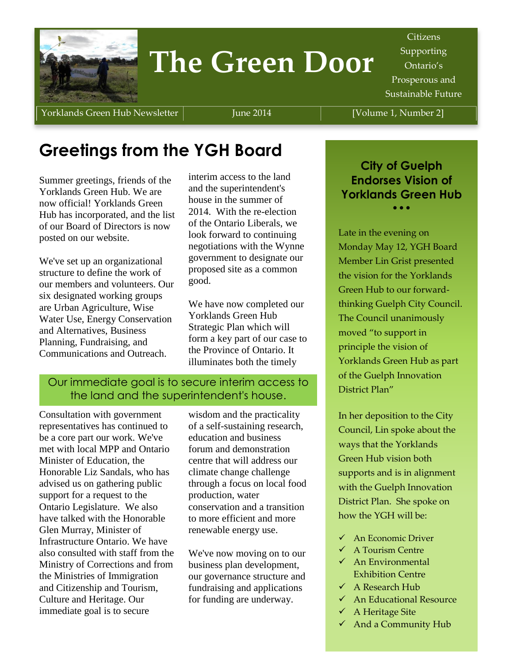

# **The Green Door**

Citizens Supporting Ontario's Prosperous and Sustainable Future

Yorklands Green Hub Newsletter | June 2014 | Volume 1, Number 2]

## **Greetings from the YGH Board**

Summer greetings, friends of the Yorklands Green Hub. We are now official! Yorklands Green Hub has incorporated, and the list of our Board of Directors is now posted on our website.

We've set up an organizational structure to define the work of our members and volunteers. Our six designated working groups are Urban Agriculture, Wise Water Use, Energy Conservation and Alternatives, Business Planning, Fundraising, and Communications and Outreach.

interim access to the land and the superintendent's house in the summer of 2014. With the re-election of the Ontario Liberals, we look forward to continuing negotiations with the Wynne government to designate our proposed site as a common good.

We have now completed our Yorklands Green Hub Strategic Plan which will form a key part of our case to the Province of Ontario. It illuminates both the timely

#### Our immediate goal is to secure interim access to the land and the superintendent's house.

Consultation with government representatives has continued to be a core part our work. We've met with local MPP and Ontario Minister of Education, the Honorable Liz Sandals, who has advised us on gathering public support for a request to the Ontario Legislature. We also have talked with the Honorable Glen Murray, Minister of Infrastructure Ontario. We have also consulted with staff from the Ministry of Corrections and from the Ministries of Immigration and Citizenship and Tourism, Culture and Heritage. Our immediate goal is to secure

wisdom and the practicality of a self-sustaining research, education and business forum and demonstration centre that will address our climate change challenge through a focus on local food production, water conservation and a transition to more efficient and more renewable energy use.

We've now moving on to our business plan development, our governance structure and fundraising and applications for funding are underway.

**City of Guelph Endorses Vision of Yorklands Green Hub**  $\bullet$   $\bullet$   $\bullet$ 

Late in the evening on Monday May 12, YGH Board Member Lin Grist presented the vision for the Yorklands Green Hub to our forwardthinking Guelph City Council. The Council unanimously moved "to support in principle the vision of Yorklands Green Hub as part of the Guelph Innovation District Plan"

In her deposition to the City Council, Lin spoke about the ways that the Yorklands Green Hub vision both supports and is in alignment with the Guelph Innovation District Plan. She spoke on how the YGH will be:

- $\checkmark$  An Economic Driver
- $\checkmark$  A Tourism Centre
- $\checkmark$  An Environmental Exhibition Centre
- $\checkmark$  A Research Hub
- An Educational Resource
- $\checkmark$  A Heritage Site
- $\checkmark$  And a Community Hub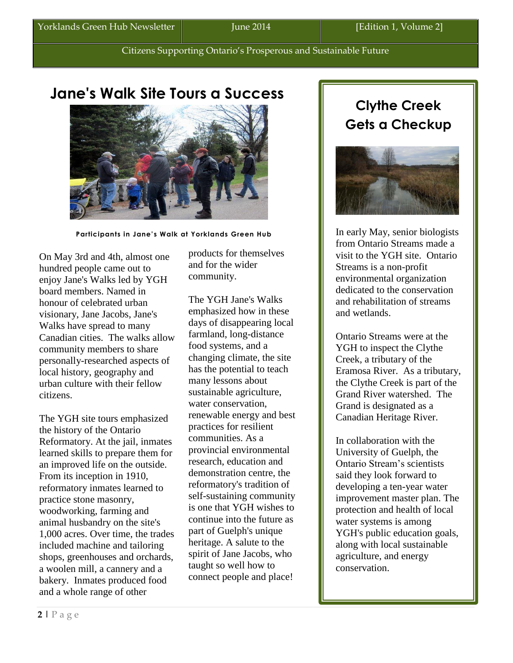## **Jane's Walk Site Tours a Success**



 **Participants in Jane's Walk at Yorklands Green Hub**

On May 3rd and 4th, almost one hundred people came out to enjoy Jane's Walks led by YGH board members. Named in honour of celebrated urban visionary, Jane Jacobs, Jane's Walks have spread to many Canadian cities. The walks allow community members to share personally-researched aspects of local history, geography and urban culture with their fellow citizens.

The YGH site tours emphasized the history of the Ontario Reformatory. At the jail, inmates learned skills to prepare them for an improved life on the outside. From its inception in 1910, reformatory inmates learned to practice stone masonry, woodworking, farming and animal husbandry on the site's 1,000 acres. Over time, the trades included machine and tailoring shops, greenhouses and orchards, a woolen mill, a cannery and a bakery. Inmates produced food and a whole range of other

products for themselves and for the wider community.

The YGH Jane's Walks emphasized how in these days of disappearing local farmland, long-distance food systems, and a changing climate, the site has the potential to teach many lessons about sustainable agriculture, water conservation, renewable energy and best practices for resilient communities. As a provincial environmental research, education and demonstration centre, the reformatory's tradition of self-sustaining community is one that YGH wishes to continue into the future as part of Guelph's unique heritage. A salute to the spirit of Jane Jacobs, who taught so well how to connect people and place!

### **Clythe Creek Gets a Checkup**



In early May, senior biologists from Ontario Streams made a visit to the YGH site. Ontario Streams is a non-profit environmental organization dedicated to the conservation and rehabilitation of streams and wetlands.

Ontario Streams were at the YGH to inspect the Clythe Creek, a tributary of the Eramosa River. As a tributary, the Clythe Creek is part of the Grand River watershed. The Grand is designated as a Canadian Heritage River.

In collaboration with the University of Guelph, the Ontario Stream's scientists said they look forward to developing a ten-year water improvement master plan. The protection and health of local water systems is among YGH's public education goals, along with local sustainable agriculture, and energy conservation.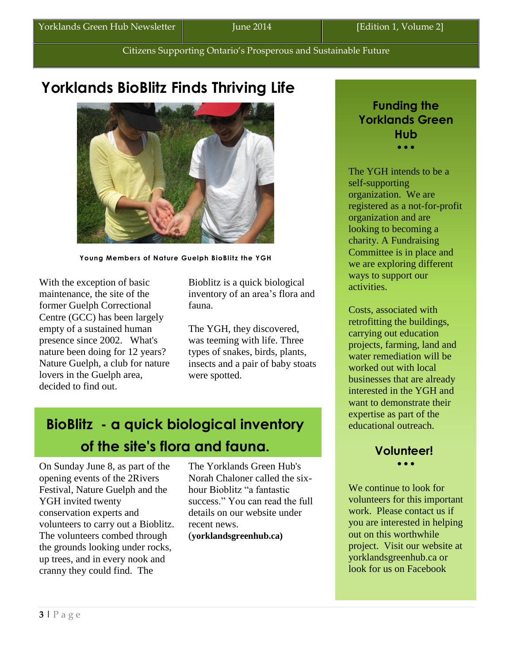## **Yorklands BioBlitz Finds Thriving Life**



**Young Members of Nature Guelph BioBlitz the YGH**

With the exception of basic maintenance, the site of the former Guelph Correctional Centre (GCC) has been largely empty of a sustained human presence since 2002. What's nature been doing for 12 years? Nature Guelph, a club for nature lovers in the Guelph area, decided to find out.

Bioblitz is a quick biological inventory of an area's flora and fauna.

The YGH, they discovered, was teeming with life. Three types of snakes, birds, plants, insects and a pair of baby stoats were spotted.

## **BioBlitz - a quick biological inventory of the site's flora and fauna.**

On Sunday June 8, as part of the opening events of the 2Rivers Festival, Nature Guelph and the YGH invited twenty conservation experts and volunteers to carry out a Bioblitz. The volunteers combed through the grounds looking under rocks, up trees, and in every nook and cranny they could find. The

The Yorklands Green Hub's Norah Chaloner called the sixhour Bioblitz "a fantastic success." You can read the full details on our website under recent news.

(**yorklandsgreenhub.ca)**

#### **Funding the Yorklands Green Hub**  $\bullet$   $\bullet$   $\bullet$

The YGH intends to be a self-supporting organization. We are registered as a not-for-profit organization and are looking to becoming a charity. A Fundraising Committee is in place and we are exploring different ways to support our activities.

Costs, associated with retrofitting the buildings, carrying out education projects, farming, land and water remediation will be worked out with local businesses that are already interested in the YGH and want to demonstrate their expertise as part of the educational outreach.

#### **Volunteer!**  $\overline{\phantom{a}}$

We continue to look for volunteers for this important work. Please contact us if you are interested in helping out on this worthwhile project. Visit our website at yorklandsgreenhub.ca or look for us on Facebook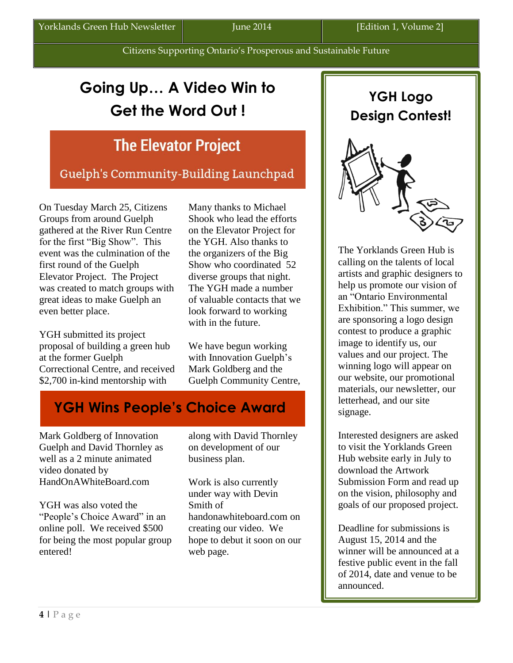## **Going Up… A Video Win to Get the Word Out !**

## **The Elevator Project**

Guelph's Community-Building Launchpad

On Tuesday March 25, Citizens Groups from around Guelph gathered at the River Run Centre for the first "Big Show". This event was the culmination of the first round of the Guelph Elevator Project. The Project was created to match groups with great ideas to make Guelph an even better place.

YGH submitted its project proposal of building a green hub at the former Guelph Correctional Centre, and received \$2,700 in-kind mentorship with

Many thanks to Michael Shook who lead the efforts on the Elevator Project for the YGH. Also thanks to the organizers of the Big Show who coordinated 52 diverse groups that night. The YGH made a number of valuable contacts that we look forward to working with in the future.

We have begun working with Innovation Guelph's Mark Goldberg and the Guelph Community Centre,

## **YGH Wins People's Choice Award**

Mark Goldberg of Innovation Guelph and David Thornley as well as a 2 minute animated video donated by HandOnAWhiteBoard.com

YGH was also voted the "People's Choice Award" in an online poll. We received \$500 for being the most popular group entered!

along with David Thornley on development of our business plan.

Work is also currently under way with Devin Smith of handonawhiteboard.com on creating our video. We hope to debut it soon on our web page.



The Yorklands Green Hub is calling on the talents of local artists and graphic designers to help us promote our vision of an "Ontario Environmental Exhibition." This summer, we are sponsoring a logo design contest to produce a graphic image to identify us, our values and our project. The winning logo will appear on our website, our promotional materials, our newsletter, our letterhead, and our site signage.

Interested designers are asked to visit the Yorklands Green Hub website early in July to download the Artwork Submission Form and read up on the vision, philosophy and goals of our proposed project.

Deadline for submissions is August 15, 2014 and the winner will be announced at a festive public event in the fall of 2014, date and venue to be announced.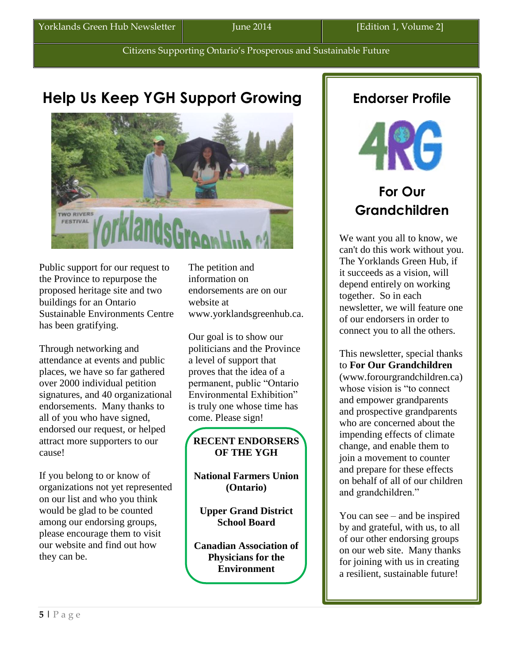### **Help Us Keep YGH Support Growing**



Public support for our request to the Province to repurpose the proposed heritage site and two buildings for an Ontario Sustainable Environments Centre has been gratifying.

Through networking and attendance at events and public places, we have so far gathered over 2000 individual petition signatures, and 40 organizational endorsements. Many thanks to all of you who have signed, endorsed our request, or helped attract more supporters to our cause!

If you belong to or know of organizations not yet represented on our list and who you think would be glad to be counted among our endorsing groups, please encourage them to visit our website and find out how they can be.

The petition and information on endorsements are on our website at [www.yorklandsgreenhub.ca.](http://www.yorklandsgreenhub.ca/)

Our goal is to show our politicians and the Province a level of support that proves that the idea of a permanent, public "Ontario Environmental Exhibition" is truly one whose time has come. Please sign!

#### **RECENT ENDORSERS OF THE YGH**

**National Farmers Union (Ontario)**

**Upper Grand District School Board**

**Canadian Association of Physicians for the Environment**

### **Endorser Profile**



### **For Our Grandchildren**

We want you all to know, we can't do this work without you. The Yorklands Green Hub, if it succeeds as a vision, will depend entirely on working together. So in each newsletter, we will feature one of our endorsers in order to connect you to all the others.

This newsletter, special thanks to **For Our Grandchildren**  (www.forourgrandchildren.ca) whose vision is "to connect and empower grandparents and prospective grandparents who are concerned about the impending effects of climate change, and enable them to join a movement to counter and prepare for these effects on behalf of all of our children and grandchildren."

You can see – and be inspired by and grateful, with us, to all of our other endorsing groups on our web site. Many thanks for joining with us in creating a resilient, sustainable future!